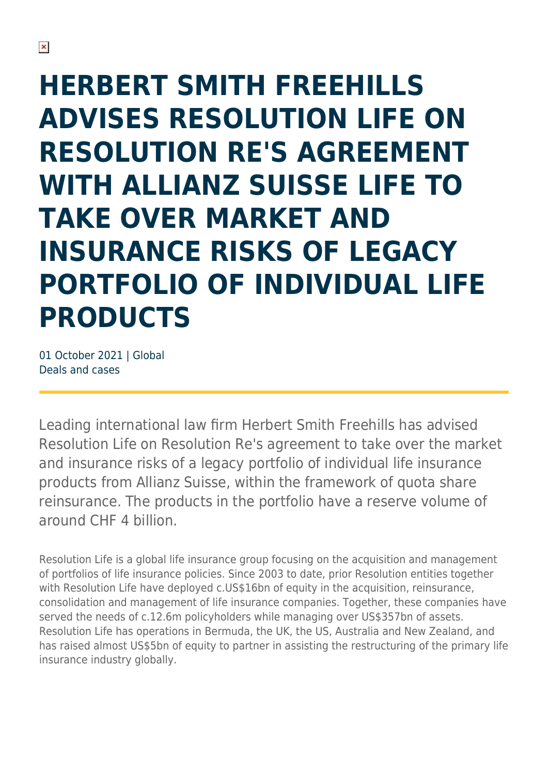## **HERBERT SMITH FREEHILLS ADVISES RESOLUTION LIFE ON RESOLUTION RE'S AGREEMENT WITH ALLIANZ SUISSE LIFE TO TAKE OVER MARKET AND INSURANCE RISKS OF LEGACY PORTFOLIO OF INDIVIDUAL LIFE PRODUCTS**

01 October 2021 | Global Deals and cases

Leading international law firm Herbert Smith Freehills has advised Resolution Life on Resolution Re's agreement to take over the market and insurance risks of a legacy portfolio of individual life insurance products from Allianz Suisse, within the framework of quota share reinsurance. The products in the portfolio have a reserve volume of around CHF 4 billion.

Resolution Life is a global life insurance group focusing on the acquisition and management of portfolios of life insurance policies. Since 2003 to date, prior Resolution entities together with Resolution Life have deployed c.US\$16bn of equity in the acquisition, reinsurance, consolidation and management of life insurance companies. Together, these companies have served the needs of c.12.6m policyholders while managing over US\$357bn of assets. Resolution Life has operations in Bermuda, the UK, the US, Australia and New Zealand, and has raised almost US\$5bn of equity to partner in assisting the restructuring of the primary life insurance industry globally.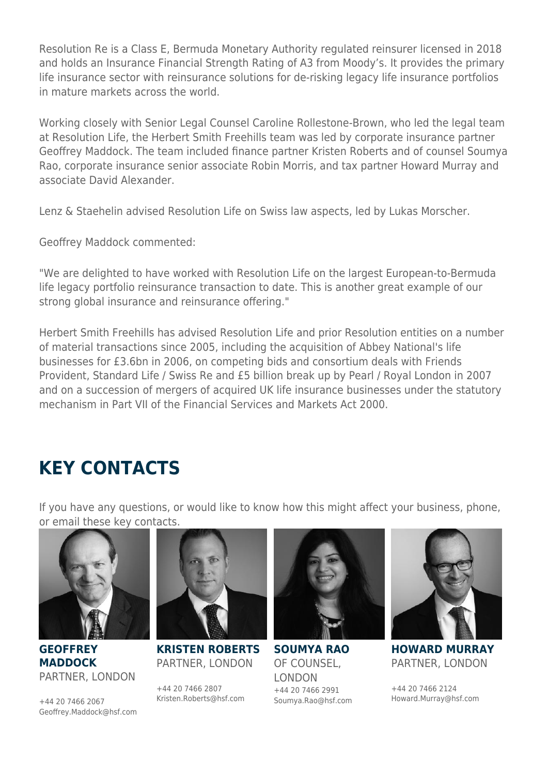Resolution Re is a Class E, Bermuda Monetary Authority regulated reinsurer licensed in 2018 and holds an Insurance Financial Strength Rating of A3 from Moody's. It provides the primary life insurance sector with reinsurance solutions for de-risking legacy life insurance portfolios in mature markets across the world.

Working closely with Senior Legal Counsel Caroline Rollestone-Brown, who led the legal team at Resolution Life, the Herbert Smith Freehills team was led by corporate insurance partner Geoffrey Maddock. The team included finance partner Kristen Roberts and of counsel Soumya Rao, corporate insurance senior associate Robin Morris, and tax partner Howard Murray and associate David Alexander.

Lenz & Staehelin advised Resolution Life on Swiss law aspects, led by Lukas Morscher.

Geoffrey Maddock commented:

"We are delighted to have worked with Resolution Life on the largest European-to-Bermuda life legacy portfolio reinsurance transaction to date. This is another great example of our strong global insurance and reinsurance offering."

Herbert Smith Freehills has advised Resolution Life and prior Resolution entities on a number of material transactions since 2005, including the acquisition of Abbey National's life businesses for £3.6bn in 2006, on competing bids and consortium deals with Friends Provident, Standard Life / Swiss Re and £5 billion break up by Pearl / Royal London in 2007 and on a succession of mergers of acquired UK life insurance businesses under the statutory mechanism in Part VII of the Financial Services and Markets Act 2000.

## **KEY CONTACTS**

If you have any questions, or would like to know how this might affect your business, phone, or email these key contacts.



**GEOFFREY MADDOCK** PARTNER, LONDON

+44 20 7466 2067 Geoffrey.Maddock@hsf.com



**KRISTEN ROBERTS** PARTNER, LONDON

+44 20 7466 2807 Kristen.Roberts@hsf.com



**SOUMYA RAO** OF COUNSEL, LONDON +44 20 7466 2991 Soumya.Rao@hsf.com



**HOWARD MURRAY** PARTNER, LONDON

+44 20 7466 2124 Howard.Murray@hsf.com